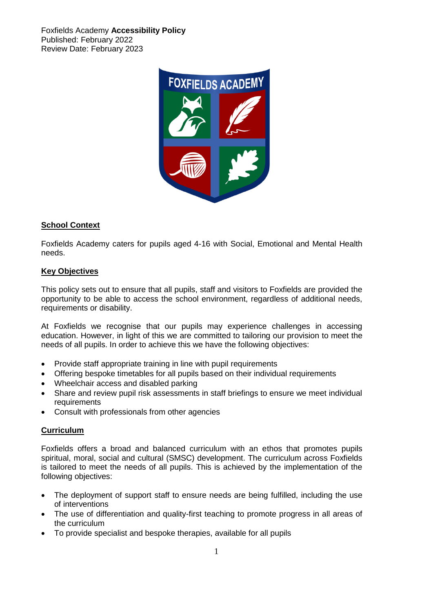Foxfields Academy **Accessibility Policy** Published: February 2022 Review Date: February 2023



# **School Context**

Foxfields Academy caters for pupils aged 4-16 with Social, Emotional and Mental Health needs.

## **Key Objectives**

This policy sets out to ensure that all pupils, staff and visitors to Foxfields are provided the opportunity to be able to access the school environment, regardless of additional needs, requirements or disability.

At Foxfields we recognise that our pupils may experience challenges in accessing education. However, in light of this we are committed to tailoring our provision to meet the needs of all pupils. In order to achieve this we have the following objectives:

- Provide staff appropriate training in line with pupil requirements
- Offering bespoke timetables for all pupils based on their individual requirements
- Wheelchair access and disabled parking
- Share and review pupil risk assessments in staff briefings to ensure we meet individual requirements
- Consult with professionals from other agencies

## **Curriculum**

Foxfields offers a broad and balanced curriculum with an ethos that promotes pupils spiritual, moral, social and cultural (SMSC) development. The curriculum across Foxfields is tailored to meet the needs of all pupils. This is achieved by the implementation of the following objectives:

- The deployment of support staff to ensure needs are being fulfilled, including the use of interventions
- The use of differentiation and quality-first teaching to promote progress in all areas of the curriculum
- To provide specialist and bespoke therapies, available for all pupils